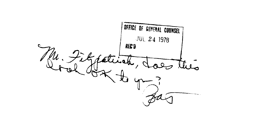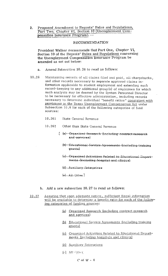Proposed Amendment to Regents' Rules and Regulations,  $2.$ Part Two, Chapter VI, Section 10 (Unemployment Compensation Insurance Program). --

## RECOMMENDATION

President Walker recommends that Part One, Chapter VI, Section 10 of the Regents' Rules and Regulations concerning the Unemployment Compensation Insurance Program be amended as set out below:

- a. Amend Subsection 10.26 to read as follows:
- 10.26 Maintaining records of all claims filed and paid, all chargebacks, and other records necessary to separate approved claims information applicable to student employment and extending such record-keeping to any additional group(s) of employees for which such analysis may be deemed by the System Personnel Director to be necessary for effective administration, including records necessary to determine individual "benefit ratios" consistent with provisions in the Texas Unemployment Compensation Act under Subsection 10.6 for each of the following categories of fund sources:
	- 10.261 State General Revenue
	- 10.262 Other than State General Revenue
		- [ (a) Organized Research-(including contract research and-services)
			- (b)-Educational-Service-Agreements (including training  $grants)$
			- (c)--Organized Activities Related to-Educational Departments (including hospital and clinics)
			- (d)-Auxiliary Enterprises
			- $A-LALQ$
	- b. Add a new subsection 10.27 to read as follows:
- 10.27 Assurinq that upon adequate notice, sufficient fiscal information will be available to determine a benefit ratio for each of the followinq categories of fundinq sources:
	- Orqanized Research (includinq contract research and services)
	- Educational Service Aqreements (includinq training grants)
	- (c) Organized Activities Related to Educational Departments (includinq hospitals and clinics)
	- (d) Auxiliary Enterprises
	- $(e)$  All Other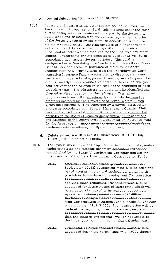- c. Amend Subsection 10.5 to read as follows:
- 10.5 Separate and apart from all other System monies or funds, an Unemployment Compensation Fund, administered under the same custodianship as other monies administered by the System, is established and maintained in one or more regular depositories of the System, secured by collateral in accordance with state statutory requirements. The fund consists of a11 assessments collected, all interest earned on deposits of any monies in the fund, and all other monies received for the fund from any other source. Investments or time deposits of such funds will be in accordance with regular System policies. This fund is designated as a "revolving fund" under the "University of Texas Central Services Account" provision of the current General Appropriation Act. Expenditures from the Unemployment Compensation Insurance Fund are restricted to direct costs: payments and chargebacks of approved Unemployment Compensation claims, and System administrative costs not to exceed five percent per year of the balance in the fund at the beginning of each preceding year. The administrative costs will be identified and charged as direct cost to the Unemployment Compensation Program consistent with procedures for other similar benefits programs operated by The University of Texas System. Such direct cost charges will be supported by a payroll distribution system in accordance with Federal Manaqement Circular 73-8, Section J.7. A financial report will be prepared and submitted annually to the Board of Regents summarizing the transactions and balances of the Unemployment Compensation Insurance Fund for the fiscal year. [Investments-or-time deposits of such funds are in-accordance-with-regular-System-policies.]
	- d. Delete Subsection 10.6 and its Subsections 10.61, 10. 62, 10.621, 10.622 as set out below:
	- 10.6 The-System-Unemployment-Compensation-Insurance-Fund-operates under-principles-and-methods-generally-consistent with-those established by the Texas Unemployment Compensation Act for the operation of the State-Unemployment Compensation Fund.
		- $10 61$ After an initial development-period-(as provided in Subdivision-10.62) assessment-rates-will-be-computed based upon principles and methods consistent with provisions in the Texas Unemployment Compensation Act for determination of "Contribution" rates. - In applying these principles, -"benefit ratios"-will be developed for determination of basic rates which will be-adjusted-(decreased-or-increased-respectively) by one tenth of one persent for each  $$25,000$  or fraction thereof-by-which the-amount in the Unemployment-Compensation Insurance Fund-exceeds-\$1,755,000 or is less than \$1,215,000,-Such computation will be made at the beginning of each calendar-year, and the assessment-rate(s) se-calculated, but-in-ne-event-less than one-tenth-of one-persent,-will-be-applicable to the fiscal year beginning within that calendar year.
		- $10 62$ Compensation-experience and fund balances-will be developed during the period January 1, 1972, through